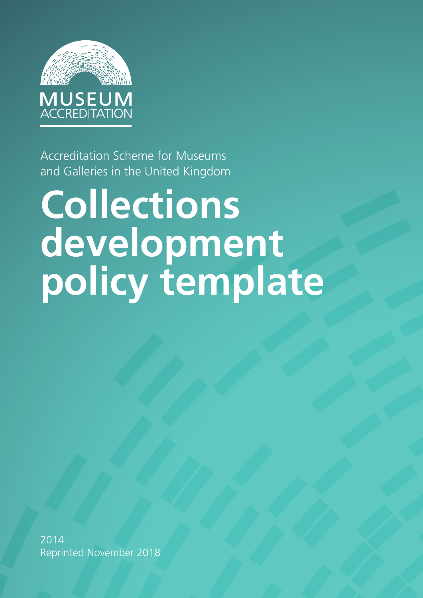

Accreditation Scheme for Museums and Galleries in the United Kingdom

# **Collections development policy template**

2014 Reprinted November 2018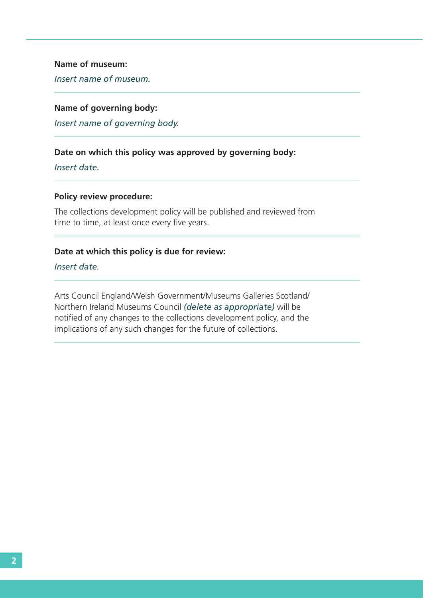#### **Name of museum:**

*Insert name of museum.*

#### **Name of governing body:**

*Insert name of governing body.*

### **Date on which this policy was approved by governing body:**

*Insert date.*

#### **Policy review procedure:**

The collections development policy will be published and reviewed from time to time, at least once every five years.

#### **Date at which this policy is due for review:**

*Insert date.*

Arts Council England/Welsh Government/Museums Galleries Scotland/ Northern Ireland Museums Council *(delete as appropriate)* will be notified of any changes to the collections development policy, and the implications of any such changes for the future of collections.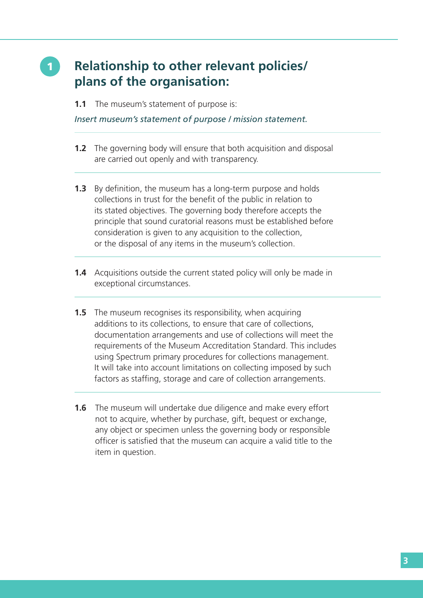## 1 **Relationship to other relevant policies/ plans of the organisation:**

**1.1** The museum's statement of purpose is:

*Insert museum's statement of purpose / mission statement.*

- **1.2** The governing body will ensure that both acquisition and disposal are carried out openly and with transparency.
- **1.3** By definition, the museum has a long-term purpose and holds collections in trust for the benefit of the public in relation to its stated objectives. The governing body therefore accepts the principle that sound curatorial reasons must be established before consideration is given to any acquisition to the collection, or the disposal of any items in the museum's collection.
- **1.4** Acquisitions outside the current stated policy will only be made in exceptional circumstances.
- **1.5** The museum recognises its responsibility, when acquiring additions to its collections, to ensure that care of collections, documentation arrangements and use of collections will meet the requirements of the Museum Accreditation Standard. This includes using Spectrum primary procedures for collections management. It will take into account limitations on collecting imposed by such factors as staffing, storage and care of collection arrangements.
- **1.6** The museum will undertake due diligence and make every effort not to acquire, whether by purchase, gift, bequest or exchange, any object or specimen unless the governing body or responsible officer is satisfied that the museum can acquire a valid title to the item in question.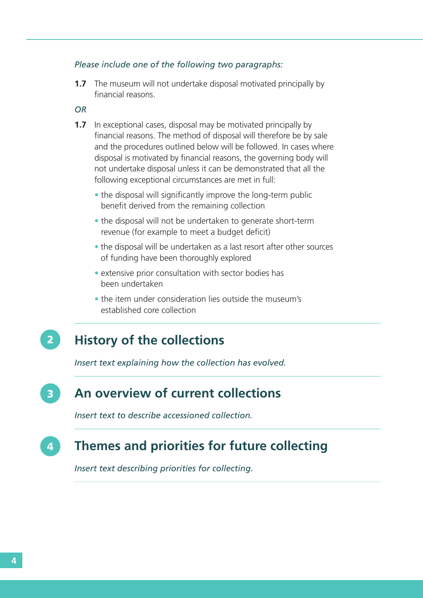#### *Please include one of the following two paragraphs:*

**1.7** The museum will not undertake disposal motivated principally by financial reasons.

#### *OR*

- **1.7** In exceptional cases, disposal may be motivated principally by financial reasons. The method of disposal will therefore be by sale and the procedures outlined below will be followed. In cases where disposal is motivated by financial reasons, the governing body will not undertake disposal unless it can be demonstrated that all the following exceptional circumstances are met in full:
	- the disposal will significantly improve the long-term public benefit derived from the remaining collection
	- the disposal will not be undertaken to generate short-term revenue (for example to meet a budget deficit)
	- the disposal will be undertaken as a last resort after other sources of funding have been thoroughly explored
	- extensive prior consultation with sector bodies has been undertaken
	- the item under consideration lies outside the museum's established core collection

#### **History of the collections** 2

*Insert text explaining how the collection has evolved.*

#### **An overview of current collections** 3

*Insert text to describe accessioned collection.*

#### **Themes and priorities for future collecting** 4

*Insert text describing priorities for collecting.*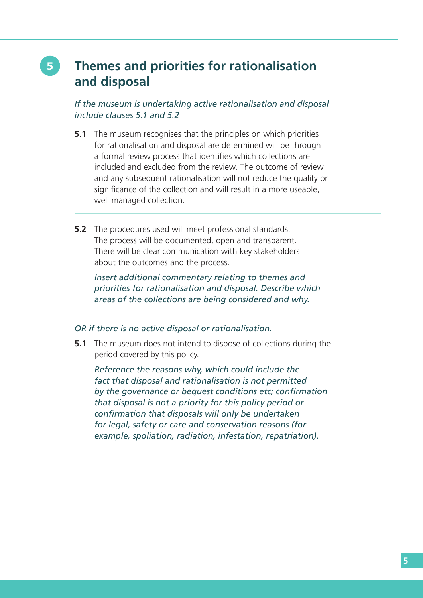## 5 **Themes and priorities for rationalisation and disposal**

#### *If the museum is undertaking active rationalisation and disposal include clauses 5.1 and 5.2*

- **5.1** The museum recognises that the principles on which priorities for rationalisation and disposal are determined will be through a formal review process that identifies which collections are included and excluded from the review. The outcome of review and any subsequent rationalisation will not reduce the quality or significance of the collection and will result in a more useable, well managed collection.
- **5.2** The procedures used will meet professional standards. The process will be documented, open and transparent. There will be clear communication with key stakeholders about the outcomes and the process.

 *Insert additional commentary relating to themes and priorities for rationalisation and disposal. Describe which areas of the collections are being considered and why.*

#### *OR if there is no active disposal or rationalisation.*

**5.1** The museum does not intend to dispose of collections during the period covered by this policy.

 *Reference the reasons why, which could include the fact that disposal and rationalisation is not permitted by the governance or bequest conditions etc; confirmation that disposal is not a priority for this policy period or confirmation that disposals will only be undertaken for legal, safety or care and conservation reasons (for example, spoliation, radiation, infestation, repatriation).*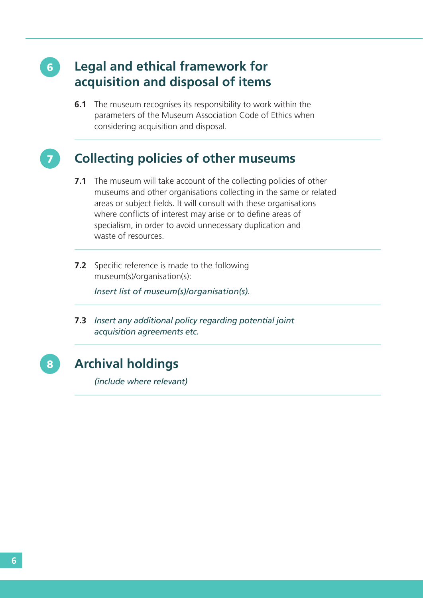## **Legal and ethical framework for acquisition and disposal of items**

**6.1** The museum recognises its responsibility to work within the parameters of the Museum Association Code of Ethics when considering acquisition and disposal.

# 7

6

## **Collecting policies of other museums**

- **7.1** The museum will take account of the collecting policies of other museums and other organisations collecting in the same or related areas or subject fields. It will consult with these organisations where conflicts of interest may arise or to define areas of specialism, in order to avoid unnecessary duplication and waste of resources.
- **7.2** Specific reference is made to the following museum(s)/organisation(s):

*Insert list of museum(s)/organisation(s).*

**7.3** *Insert any additional policy regarding potential joint acquisition agreements etc.*

8 **Archival holdings**  *(include where relevant)*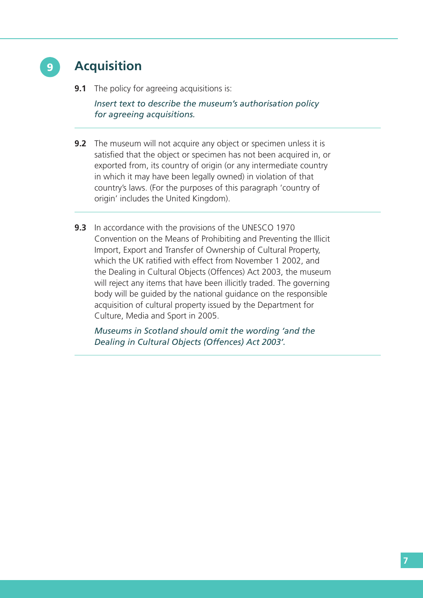

## 9 **Acquisition**

**9.1** The policy for agreeing acquisitions is:

 *Insert text to describe the museum's authorisation policy for agreeing acquisitions.*

- **9.2** The museum will not acquire any object or specimen unless it is satisfied that the object or specimen has not been acquired in, or exported from, its country of origin (or any intermediate country in which it may have been legally owned) in violation of that country's laws. (For the purposes of this paragraph 'country of origin' includes the United Kingdom).
- **9.3** In accordance with the provisions of the UNESCO 1970 Convention on the Means of Prohibiting and Preventing the Illicit Import, Export and Transfer of Ownership of Cultural Property, which the UK ratified with effect from November 1 2002, and the Dealing in Cultural Objects (Offences) Act 2003, the museum will reject any items that have been illicitly traded. The governing body will be guided by the national guidance on the responsible acquisition of cultural property issued by the Department for Culture, Media and Sport in 2005.

 *Museums in Scotland should omit the wording 'and the Dealing in Cultural Objects (Offences) Act 2003'.*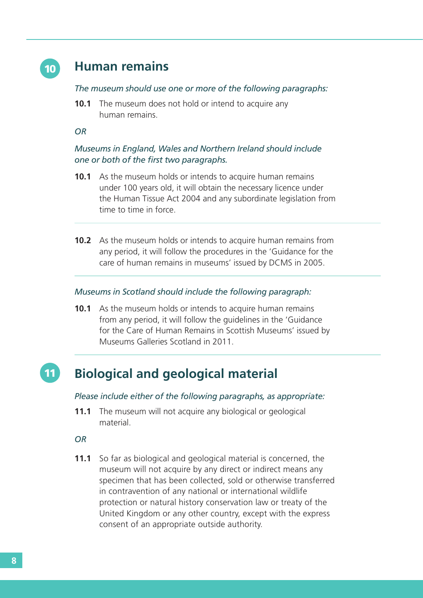

## **Human remains**

#### *The museum should use one or more of the following paragraphs:*

**10.1** The museum does not hold or intend to acquire any human remains.

#### *OR*

#### *Museums in England, Wales and Northern Ireland should include one or both of the first two paragraphs.*

- **10.1** As the museum holds or intends to acquire human remains under 100 years old, it will obtain the necessary licence under the Human Tissue Act 2004 and any subordinate legislation from time to time in force.
- **10.2** As the museum holds or intends to acquire human remains from any period, it will follow the procedures in the 'Guidance for the care of human remains in museums' issued by DCMS in 2005.

#### *Museums in Scotland should include the following paragraph:*

**10.1** As the museum holds or intends to acquire human remains from any period, it will follow the guidelines in the 'Guidance for the Care of Human Remains in Scottish Museums' issued by Museums Galleries Scotland in 2011.

#### 11 **Biological and geological material**

#### *Please include either of the following paragraphs, as appropriate:*

**11.1** The museum will not acquire any biological or geological material.

#### *OR*

**11.1** So far as biological and geological material is concerned, the museum will not acquire by any direct or indirect means any specimen that has been collected, sold or otherwise transferred in contravention of any national or international wildlife protection or natural history conservation law or treaty of the United Kingdom or any other country, except with the express consent of an appropriate outside authority.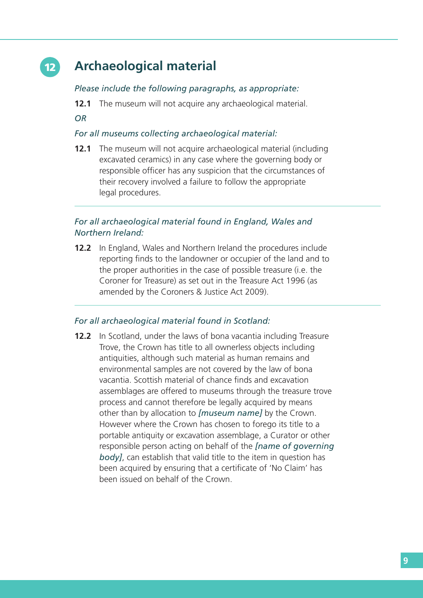## 12 **Archaeological material**

#### *Please include the following paragraphs, as appropriate:*

**12.1** The museum will not acquire any archaeological material.

*OR*

#### *For all museums collecting archaeological material:*

**12.1** The museum will not acquire archaeological material (including excavated ceramics) in any case where the governing body or responsible officer has any suspicion that the circumstances of their recovery involved a failure to follow the appropriate legal procedures.

#### *For all archaeological material found in England, Wales and Northern Ireland:*

**12.2** In England, Wales and Northern Ireland the procedures include reporting finds to the landowner or occupier of the land and to the proper authorities in the case of possible treasure (i.e. the Coroner for Treasure) as set out in the Treasure Act 1996 (as amended by the Coroners & Justice Act 2009).

#### *For all archaeological material found in Scotland:*

**12.2** In Scotland, under the laws of bona vacantia including Treasure Trove, the Crown has title to all ownerless objects including antiquities, although such material as human remains and environmental samples are not covered by the law of bona vacantia. Scottish material of chance finds and excavation assemblages are offered to museums through the treasure trove process and cannot therefore be legally acquired by means other than by allocation to *[museum name]* by the Crown. However where the Crown has chosen to forego its title to a portable antiquity or excavation assemblage, a Curator or other responsible person acting on behalf of the *[name of governing body]*, can establish that valid title to the item in question has been acquired by ensuring that a certificate of 'No Claim' has been issued on behalf of the Crown.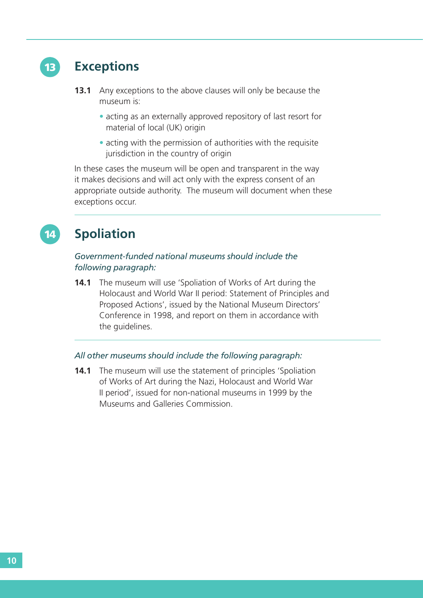

14

## **Exceptions**

- **13.1** Any exceptions to the above clauses will only be because the museum is:
	- acting as an externally approved repository of last resort for material of local (UK) origin
	- acting with the permission of authorities with the requisite jurisdiction in the country of origin

In these cases the museum will be open and transparent in the way it makes decisions and will act only with the express consent of an appropriate outside authority. The museum will document when these exceptions occur.

## **Spoliation**

#### *Government-funded national museums should include the following paragraph:*

**14.1** The museum will use 'Spoliation of Works of Art during the Holocaust and World War II period: Statement of Principles and Proposed Actions', issued by the National Museum Directors' Conference in 1998, and report on them in accordance with the guidelines.

#### *All other museums should include the following paragraph:*

**14.1** The museum will use the statement of principles 'Spoliation of Works of Art during the Nazi, Holocaust and World War II period', issued for non-national museums in 1999 by the Museums and Galleries Commission.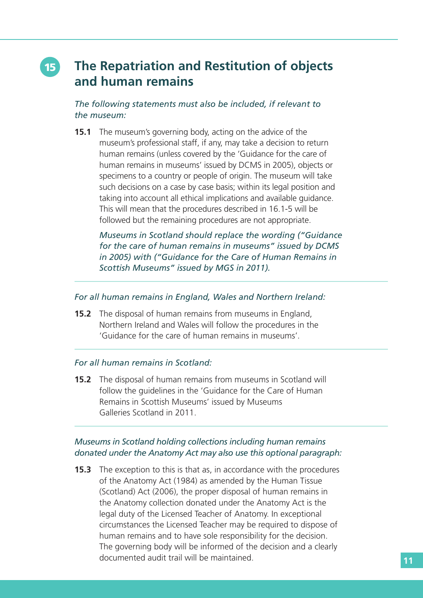## 15 **The Repatriation and Restitution of objects and human remains**

*The following statements must also be included, if relevant to the museum:*

**15.1** The museum's governing body, acting on the advice of the museum's professional staff, if any, may take a decision to return human remains (unless covered by the 'Guidance for the care of human remains in museums' issued by DCMS in 2005), objects or specimens to a country or people of origin. The museum will take such decisions on a case by case basis; within its legal position and taking into account all ethical implications and available guidance. This will mean that the procedures described in 16.1-5 will be followed but the remaining procedures are not appropriate.

 *Museums in Scotland should replace the wording ("Guidance for the care of human remains in museums" issued by DCMS in 2005) with ("Guidance for the Care of Human Remains in Scottish Museums" issued by MGS in 2011).*

#### *For all human remains in England, Wales and Northern Ireland:*

**15.2** The disposal of human remains from museums in England, Northern Ireland and Wales will follow the procedures in the 'Guidance for the care of human remains in museums'.

#### *For all human remains in Scotland:*

**15.2** The disposal of human remains from museums in Scotland will follow the guidelines in the 'Guidance for the Care of Human Remains in Scottish Museums' issued by Museums Galleries Scotland in 2011.

#### *Museums in Scotland holding collections including human remains donated under the Anatomy Act may also use this optional paragraph:*

**15.3** The exception to this is that as, in accordance with the procedures of the Anatomy Act (1984) as amended by the Human Tissue (Scotland) Act (2006), the proper disposal of human remains in the Anatomy collection donated under the Anatomy Act is the legal duty of the Licensed Teacher of Anatomy. In exceptional circumstances the Licensed Teacher may be required to dispose of human remains and to have sole responsibility for the decision. The governing body will be informed of the decision and a clearly documented audit trail will be maintained.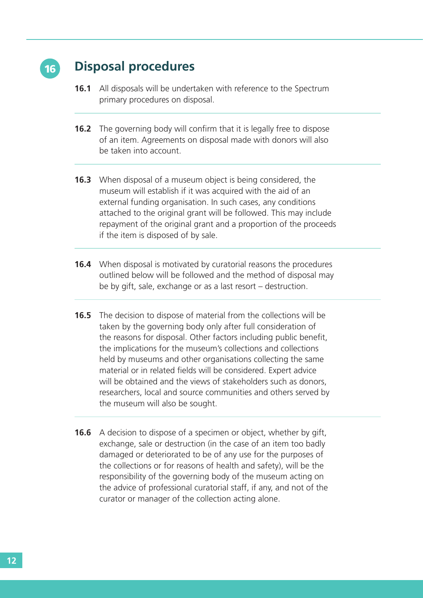

## 16 **Disposal procedures**

- **16.1** All disposals will be undertaken with reference to the Spectrum primary procedures on disposal.
- **16.2** The governing body will confirm that it is legally free to dispose of an item. Agreements on disposal made with donors will also be taken into account.
- **16.3** When disposal of a museum object is being considered, the museum will establish if it was acquired with the aid of an external funding organisation. In such cases, any conditions attached to the original grant will be followed. This may include repayment of the original grant and a proportion of the proceeds if the item is disposed of by sale.
- **16.4** When disposal is motivated by curatorial reasons the procedures outlined below will be followed and the method of disposal may be by gift, sale, exchange or as a last resort – destruction.
- **16.5** The decision to dispose of material from the collections will be taken by the governing body only after full consideration of the reasons for disposal. Other factors including public benefit, the implications for the museum's collections and collections held by museums and other organisations collecting the same material or in related fields will be considered. Expert advice will be obtained and the views of stakeholders such as donors, researchers, local and source communities and others served by the museum will also be sought.
- **16.6** A decision to dispose of a specimen or object, whether by gift, exchange, sale or destruction (in the case of an item too badly damaged or deteriorated to be of any use for the purposes of the collections or for reasons of health and safety), will be the responsibility of the governing body of the museum acting on the advice of professional curatorial staff, if any, and not of the curator or manager of the collection acting alone.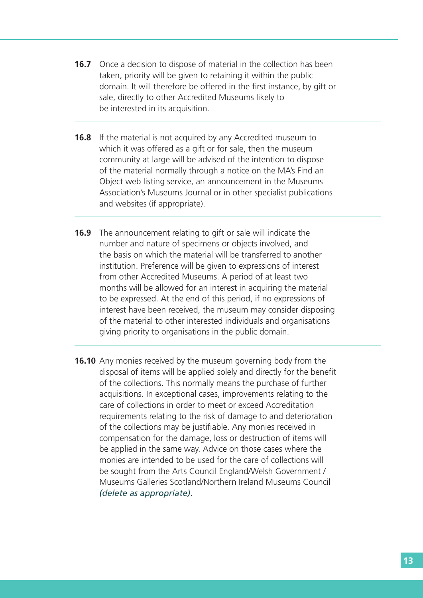- **16.7** Once a decision to dispose of material in the collection has been taken, priority will be given to retaining it within the public domain. It will therefore be offered in the first instance, by gift or sale, directly to other Accredited Museums likely to be interested in its acquisition.
- **16.8** If the material is not acquired by any Accredited museum to which it was offered as a gift or for sale, then the museum community at large will be advised of the intention to dispose of the material normally through a notice on the MA's Find an Object web listing service, an announcement in the Museums Association's Museums Journal or in other specialist publications and websites (if appropriate).
- **16.9** The announcement relating to gift or sale will indicate the number and nature of specimens or objects involved, and the basis on which the material will be transferred to another institution. Preference will be given to expressions of interest from other Accredited Museums. A period of at least two months will be allowed for an interest in acquiring the material to be expressed. At the end of this period, if no expressions of interest have been received, the museum may consider disposing of the material to other interested individuals and organisations giving priority to organisations in the public domain.
- **16.10** Any monies received by the museum governing body from the disposal of items will be applied solely and directly for the benefit of the collections. This normally means the purchase of further acquisitions. In exceptional cases, improvements relating to the care of collections in order to meet or exceed Accreditation requirements relating to the risk of damage to and deterioration of the collections may be justifiable. Any monies received in compensation for the damage, loss or destruction of items will be applied in the same way. Advice on those cases where the monies are intended to be used for the care of collections will be sought from the Arts Council England/Welsh Government / Museums Galleries Scotland/Northern Ireland Museums Council *(delete as appropriate)*.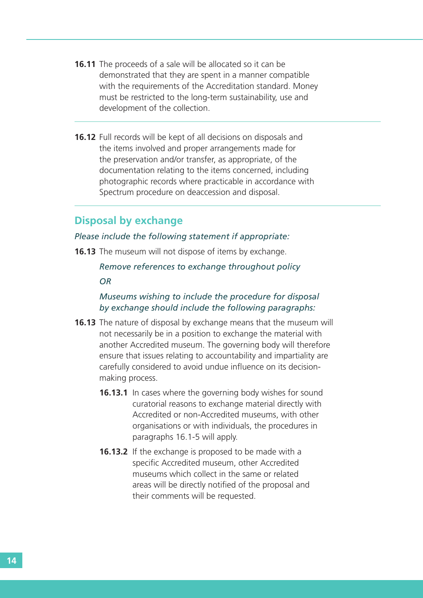- **16.11** The proceeds of a sale will be allocated so it can be demonstrated that they are spent in a manner compatible with the requirements of the Accreditation standard. Money must be restricted to the long-term sustainability, use and development of the collection.
- **16.12** Full records will be kept of all decisions on disposals and the items involved and proper arrangements made for the preservation and/or transfer, as appropriate, of the documentation relating to the items concerned, including photographic records where practicable in accordance with Spectrum procedure on deaccession and disposal.

#### **Disposal by exchange**

#### *Please include the following statement if appropriate:*

**16.13** The museum will not dispose of items by exchange.

*Remove references to exchange throughout policy*

*OR*

#### *Museums wishing to include the procedure for disposal by exchange should include the following paragraphs:*

- **16.13** The nature of disposal by exchange means that the museum will not necessarily be in a position to exchange the material with another Accredited museum. The governing body will therefore ensure that issues relating to accountability and impartiality are carefully considered to avoid undue influence on its decisionmaking process.
	- **16.13.1** In cases where the governing body wishes for sound curatorial reasons to exchange material directly with Accredited or non-Accredited museums, with other organisations or with individuals, the procedures in paragraphs 16.1-5 will apply.
	- **16.13.2** If the exchange is proposed to be made with a specific Accredited museum, other Accredited museums which collect in the same or related areas will be directly notified of the proposal and their comments will be requested.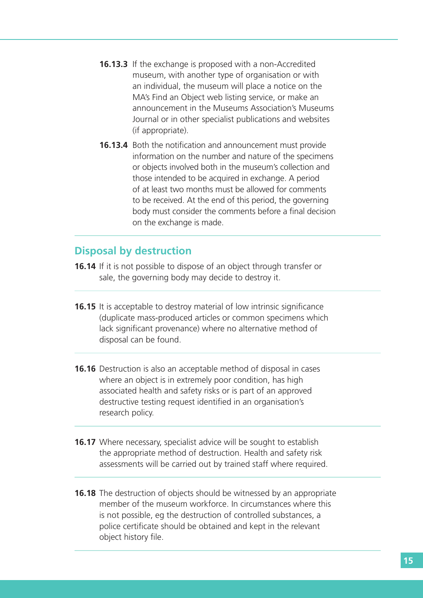- **16.13.3** If the exchange is proposed with a non-Accredited museum, with another type of organisation or with an individual, the museum will place a notice on the MA's Find an Object web listing service, or make an announcement in the Museums Association's Museums Journal or in other specialist publications and websites (if appropriate).
- **16.13.4** Both the notification and announcement must provide information on the number and nature of the specimens or objects involved both in the museum's collection and those intended to be acquired in exchange. A period of at least two months must be allowed for comments to be received. At the end of this period, the governing body must consider the comments before a final decision on the exchange is made.

## **Disposal by destruction**

- **16.14** If it is not possible to dispose of an object through transfer or sale, the governing body may decide to destroy it.
- **16.15** It is acceptable to destroy material of low intrinsic significance (duplicate mass-produced articles or common specimens which lack significant provenance) where no alternative method of disposal can be found.
- **16.16** Destruction is also an acceptable method of disposal in cases where an object is in extremely poor condition, has high associated health and safety risks or is part of an approved destructive testing request identified in an organisation's research policy.
- **16.17** Where necessary, specialist advice will be sought to establish the appropriate method of destruction. Health and safety risk assessments will be carried out by trained staff where required.
- **16.18** The destruction of objects should be witnessed by an appropriate member of the museum workforce. In circumstances where this is not possible, eg the destruction of controlled substances, a police certificate should be obtained and kept in the relevant object history file.